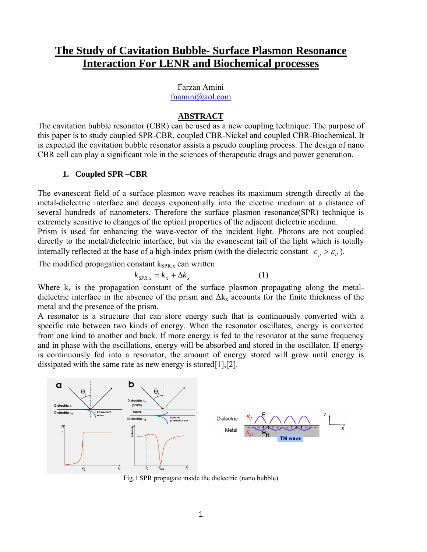# **The Study of Cavitation Bubble- Surface Plasmon Resonance Interaction For LENR and Biochemical processes**

#### Farzan Amini [fnamini@aol.com](mailto:fnamini@aol.com)

#### **ABSTRACT**

The cavitation bubble resonator (CBR) can be used as a new coupling technique. The purpose of this paper is to study coupled SPR-CBR, coupled CBR-Nickel and coupled CBR-Biochemical. It is expected the cavitation bubble resonator assists a pseudo coupling process. The design of nano CBR cell can play a significant role in the sciences of therapeutic drugs and power generation.

## **1. Coupled SPR –CBR**

The evanescent field of a surface plasmon wave reaches its maximum strength directly at the metal-dielectric interface and decays exponentially into the electric medium at a distance of several hundreds of nanometers. Therefore the surface plasmon resonance(SPR) technique is extremely sensitive to changes of the optical properties of the adjacent dielectric medium. Prism is used for enhancing the wave-vector of the incident light. Photons are not coupled directly to the metal/dielectric interface, but via the evanescent tail of the light which is totally internally reflected at the base of a high-index prism (with the dielectric constant  $\varepsilon_p > \varepsilon_d$ ).

The modified propagation constant  $k_{SPR,x}$  can written

$$
k_{SPR,x} = k_x + \Delta k_x \tag{1}
$$

Where  $k_x$  is the propagation constant of the surface plasmon propagating along the metaldielectric interface in the absence of the prism and  $\Delta k_x$  accounts for the finite thickness of the metal and the presence of the prism.

A resonator is a structure that can store energy such that is continuously converted with a specific rate between two kinds of energy. When the resonator oscillates, energy is converted from one kind to another and back. If more energy is fed to the resonator at the same frequency and in phase with the oscillations, energy will be absorbed and stored in the oscillator. If energy is continuously fed into a resonator, the amount of energy stored will grow until energy is dissipated with the same rate as new energy is stored[1],[2].



Fig.1 SPR propagate inside the dielectric (nano bubble)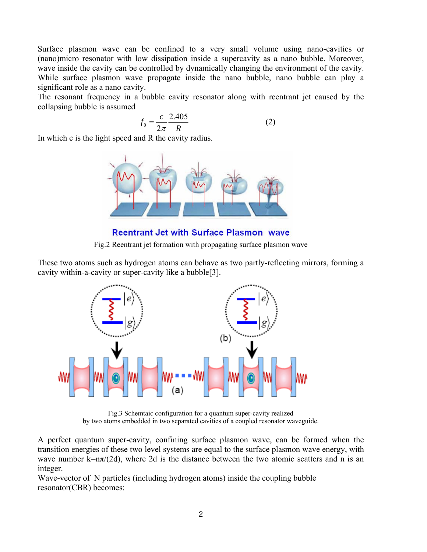Surface plasmon wave can be confined to a very small volume using nano-cavities or (nano)micro resonator with low dissipation inside a supercavity as a nano bubble. Moreover, wave inside the cavity can be controlled by dynamically changing the environment of the cavity. While surface plasmon wave propagate inside the nano bubble, nano bubble can play a significant role as a nano cavity.

The resonant frequency in a bubble cavity resonator along with reentrant jet caused by the collapsing bubble is assumed

$$
f_0 = \frac{c}{2\pi} \frac{2.405}{R}
$$
 (2)

In which c is the light speed and R the cavity radius.



**Reentrant Jet with Surface Plasmon wave** 

Fig.2 Reentrant jet formation with propagating surface plasmon wave

These two atoms such as hydrogen atoms can behave as two partly-reflecting mirrors, forming a cavity within-a-cavity or super-cavity like a bubble[3].



Fig.3 Schemtaic configuration for a quantum super-cavity realized by two atoms embedded in two separated cavities of a coupled resonator waveguide.

A perfect quantum super-cavity, confining surface plasmon wave, can be formed when the transition energies of these two level systems are equal to the surface plasmon wave energy, with wave number  $k=n\pi/(2d)$ , where 2d is the distance between the two atomic scatters and n is an integer.

Wave-vector of N particles (including hydrogen atoms) inside the coupling bubble resonator(CBR) becomes: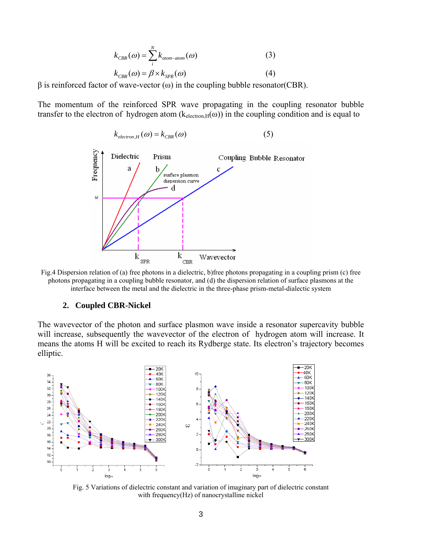$$
k_{CBR}(\omega) = \sum_{i}^{N} k_{atom-atom}(\omega)
$$
 (3)  

$$
k_{CBR}(\omega) = \beta \times k_{SPR}(\omega)
$$
 (4)

 $β$  is reinforced factor of wave-vector  $(ω)$  in the coupling bubble resonator(CBR).

The momentum of the reinforced SPR wave propagating in the coupling resonator bubble transfer to the electron of hydrogen atom  $(k_{\text{electron,H}}(\omega))$  in the coupling condition and is equal to



Fig.4 Dispersion relation of (a) free photons in a dielectric, b)free photons propagating in a coupling prism (c) free photons propagating in a coupling bubble resonator, and (d) the dispersion relation of surface plasmons at the interface between the metal and the dielectric in the three-phase prism-metal-dialectic system

#### **2. Coupled CBR-Nickel**

The wavevector of the photon and surface plasmon wave inside a resonator supercavity bubble will increase, subsequently the wavevector of the electron of hydrogen atom will increase. It means the atoms H will be excited to reach its Rydberge state. Its electron's trajectory becomes elliptic.



Fig. 5 Variations of dielectric constant and variation of imaginary part of dielectric constant with frequency(Hz) of nanocrystalline nickel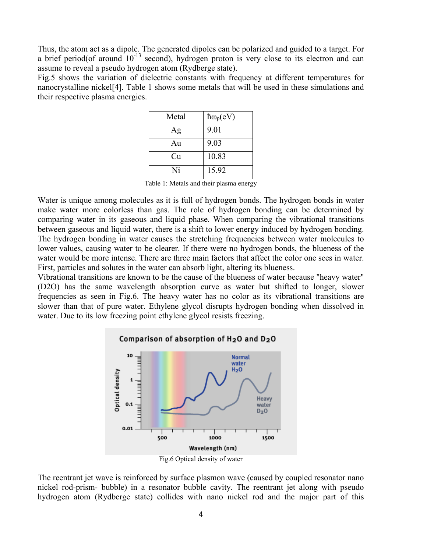Thus, the atom act as a dipole. The generated dipoles can be polarized and guided to a target. For a brief period(of around  $10^{-13}$  second), hydrogen proton is very close to its electron and can assume to reveal a pseudo hydrogen atom (Rydberge state).

Fig.5 shows the variation of dielectric constants with frequency at different temperatures for nanocrystalline nickel[4]. Table 1 shows some metals that will be used in these simulations and their respective plasma energies.

| Metal | $\hbar\omega_p(eV)$ |
|-------|---------------------|
| Ag    | 9.01                |
| Au    | 9.03                |
| Cu    | 10.83               |
| Ni    | 15.92               |

Table 1: Metals and their plasma energy

Water is unique among molecules as it is full of hydrogen bonds. The hydrogen bonds in water make water more colorless than gas. The role of hydrogen bonding can be determined by comparing water in its gaseous and liquid phase. When comparing the vibrational transitions between gaseous and liquid water, there is a shift to lower energy induced by hydrogen bonding. The hydrogen bonding in water causes the stretching frequencies between water molecules to lower values, causing water to be clearer. If there were no hydrogen bonds, the blueness of the water would be more intense. There are three main factors that affect the color one sees in water. First, particles and solutes in the water can absorb light, altering its blueness.

Vibrational transitions are known to be the cause of the blueness of water because "heavy water" (D2O) has the same wavelength absorption curve as water but shifted to longer, slower frequencies as seen in Fig.6. The heavy water has no color as its vibrational transitions are slower than that of pure water. Ethylene glycol disrupts hydrogen bonding when dissolved in water. Due to its low freezing point ethylene glycol resists freezing.



The reentrant jet wave is reinforced by surface plasmon wave (caused by coupled resonator nano nickel rod-prism- bubble) in a resonator bubble cavity. The reentrant jet along with pseudo hydrogen atom (Rydberge state) collides with nano nickel rod and the major part of this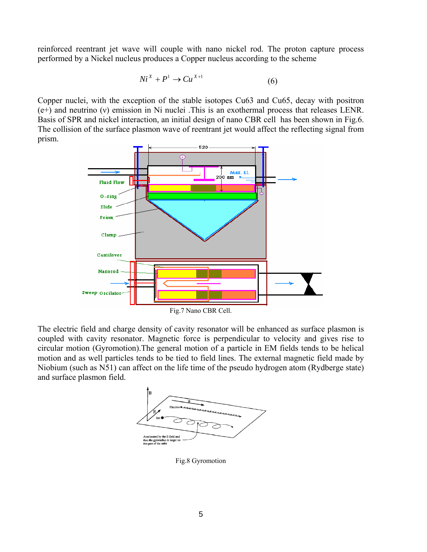reinforced reentrant jet wave will couple with nano nickel rod. The proton capture process performed by a Nickel nucleus produces a Copper nucleus according to the scheme

$$
Ni^{X} + P^{1} \rightarrow Cu^{X+1}
$$
 (6)

Copper nuclei, with the exception of the stable isotopes Cu63 and Cu65, decay with positron (e+) and neutrino (ν) emission in Ni nuclei .This is an exothermal process that releases LENR. Basis of SPR and nickel interaction, an initial design of nano CBR cell has been shown in Fig.6. The collision of the surface plasmon wave of reentrant jet would affect the reflecting signal from prism.



Fig.7 Nano CBR Cell.

The electric field and charge density of cavity resonator will be enhanced as surface plasmon is coupled with cavity resonator. Magnetic force is perpendicular to velocity and gives rise to circular motion (Gyromotion).The general motion of a particle in EM fields tends to be helical motion and as well particles tends to be tied to field lines. The external magnetic field made by Niobium (such as N51) can affect on the life time of the pseudo hydrogen atom (Rydberge state) and surface plasmon field.



Fig.8 Gyromotion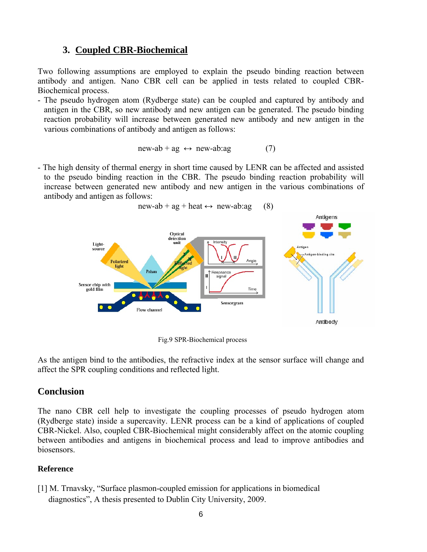# **3. Coupled CBR-Biochemical**

Two following assumptions are employed to explain the pseudo binding reaction between antibody and antigen. Nano CBR cell can be applied in tests related to coupled CBR-Biochemical process.

- The pseudo hydrogen atom (Rydberge state) can be coupled and captured by antibody and antigen in the CBR, so new antibody and new antigen can be generated. The pseudo binding reaction probability will increase between generated new antibody and new antigen in the various combinations of antibody and antigen as follows:

$$
new-ab + ag \leftrightarrow new-ab:ag \tag{7}
$$

- The high density of thermal energy in short time caused by LENR can be affected and assisted to the pseudo binding reaction in the CBR. The pseudo binding reaction probability will increase between generated new antibody and new antigen in the various combinations of antibody and antigen as follows:

 $new-ab + ag + heat \leftrightarrow new-ab:ag$  (8)



Fig.9 SPR-Biochemical process

As the antigen bind to the antibodies, the refractive index at the sensor surface will change and affect the SPR coupling conditions and reflected light.

## **Conclusion**

The nano CBR cell help to investigate the coupling processes of pseudo hydrogen atom (Rydberge state) inside a supercavity. LENR process can be a kind of applications of coupled CBR-Nickel. Also, coupled CBR-Biochemical might considerably affect on the atomic coupling between antibodies and antigens in biochemical process and lead to improve antibodies and biosensors.

## **Reference**

[1] M. Trnavsky, "Surface plasmon-coupled emission for applications in biomedical diagnostics", A thesis presented to Dublin City University, 2009.